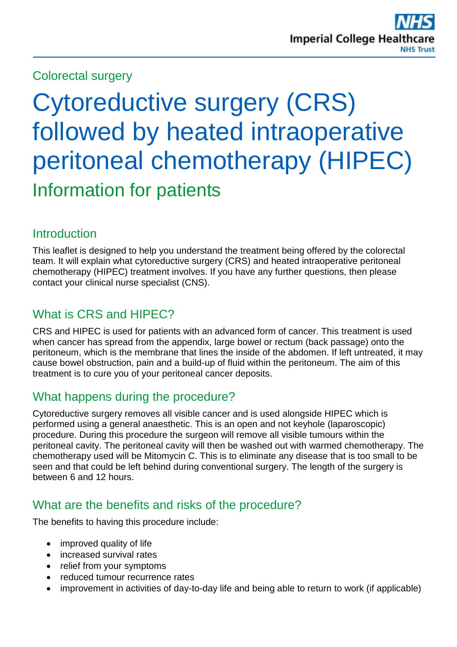## Colorectal surgery

# Cytoreductive surgery (CRS) followed by heated intraoperative peritoneal chemotherapy (HIPEC) Information for patients

## Introduction

This leaflet is designed to help you understand the treatment being offered by the colorectal team. It will explain what cytoreductive surgery (CRS) and heated intraoperative peritoneal chemotherapy (HIPEC) treatment involves. If you have any further questions, then please contact your clinical nurse specialist (CNS).

# What is CRS and HIPEC?

CRS and HIPEC is used for patients with an advanced form of cancer. This treatment is used when cancer has spread from the appendix, large bowel or rectum (back passage) onto the peritoneum, which is the membrane that lines the inside of the abdomen. If left untreated, it may cause bowel obstruction, pain and a build-up of fluid within the peritoneum. The aim of this treatment is to cure you of your peritoneal cancer deposits.

# What happens during the procedure?

Cytoreductive surgery removes all visible cancer and is used alongside HIPEC which is performed using a general anaesthetic. This is an open and not keyhole (laparoscopic) procedure. During this procedure the surgeon will remove all visible tumours within the peritoneal cavity. The peritoneal cavity will then be washed out with warmed chemotherapy. The chemotherapy used will be Mitomycin C. This is to eliminate any disease that is too small to be seen and that could be left behind during conventional surgery. The length of the surgery is between 6 and 12 hours.

# What are the benefits and risks of the procedure?

The benefits to having this procedure include:

- improved quality of life
- increased survival rates
- relief from your symptoms
- reduced tumour recurrence rates
- improvement in activities of day-to-day life and being able to return to work (if applicable)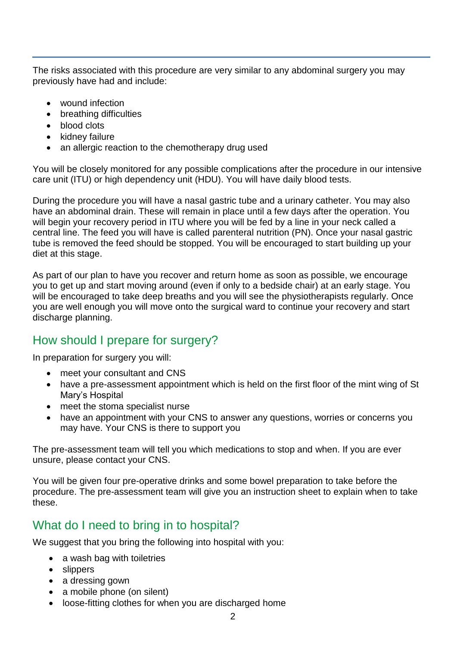The risks associated with this procedure are very similar to any abdominal surgery you may previously have had and include:

- wound infection
- breathing difficulties
- blood clots
- $\bullet$  kidney failure
- an allergic reaction to the chemotherapy drug used

You will be closely monitored for any possible complications after the procedure in our intensive care unit (ITU) or high dependency unit (HDU). You will have daily blood tests.

During the procedure you will have a nasal gastric tube and a urinary catheter. You may also have an abdominal drain. These will remain in place until a few days after the operation. You will begin your recovery period in ITU where you will be fed by a line in your neck called a central line. The feed you will have is called parenteral nutrition (PN). Once your nasal gastric tube is removed the feed should be stopped. You will be encouraged to start building up your diet at this stage.

As part of our plan to have you recover and return home as soon as possible, we encourage you to get up and start moving around (even if only to a bedside chair) at an early stage. You will be encouraged to take deep breaths and you will see the physiotherapists regularly. Once you are well enough you will move onto the surgical ward to continue your recovery and start discharge planning.

## How should I prepare for surgery?

In preparation for surgery you will:

- meet your consultant and CNS
- have a pre-assessment appointment which is held on the first floor of the mint wing of St Mary's Hospital
- meet the stoma specialist nurse
- have an appointment with your CNS to answer any questions, worries or concerns you may have. Your CNS is there to support you

The pre-assessment team will tell you which medications to stop and when. If you are ever unsure, please contact your CNS.

You will be given four pre-operative drinks and some bowel preparation to take before the procedure. The pre-assessment team will give you an instruction sheet to explain when to take these.

## What do I need to bring in to hospital?

We suggest that you bring the following into hospital with you:

- a wash bag with toiletries
- slippers
- a dressing gown
- a mobile phone (on silent)
- loose-fitting clothes for when you are discharged home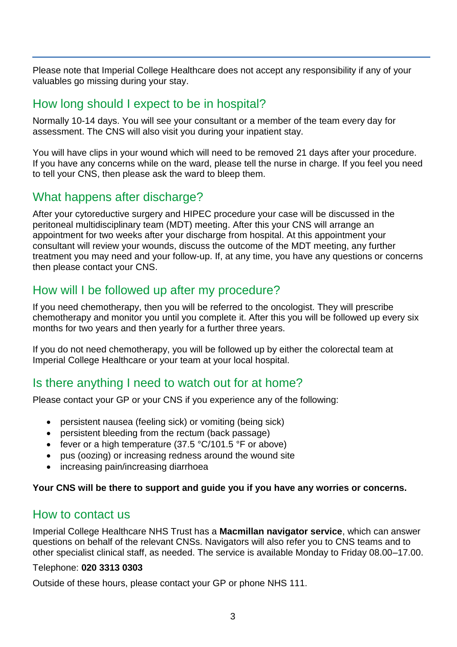Please note that Imperial College Healthcare does not accept any responsibility if any of your valuables go missing during your stay.

## How long should I expect to be in hospital?

Normally 10-14 days. You will see your consultant or a member of the team every day for assessment. The CNS will also visit you during your inpatient stay.

You will have clips in your wound which will need to be removed 21 days after your procedure. If you have any concerns while on the ward, please tell the nurse in charge. If you feel you need to tell your CNS, then please ask the ward to bleep them.

## What happens after discharge?

After your cytoreductive surgery and HIPEC procedure your case will be discussed in the peritoneal multidisciplinary team (MDT) meeting. After this your CNS will arrange an appointment for two weeks after your discharge from hospital. At this appointment your consultant will review your wounds, discuss the outcome of the MDT meeting, any further treatment you may need and your follow-up. If, at any time, you have any questions or concerns then please contact your CNS.

## How will I be followed up after my procedure?

If you need chemotherapy, then you will be referred to the oncologist. They will prescribe chemotherapy and monitor you until you complete it. After this you will be followed up every six months for two years and then yearly for a further three years.

If you do not need chemotherapy, you will be followed up by either the colorectal team at Imperial College Healthcare or your team at your local hospital.

## Is there anything I need to watch out for at home?

Please contact your GP or your CNS if you experience any of the following:

- persistent nausea (feeling sick) or vomiting (being sick)
- persistent bleeding from the rectum (back passage)
- fever or a high temperature  $(37.5 \text{ °C}/101.5 \text{ °F}$  or above)
- pus (oozing) or increasing redness around the wound site
- increasing pain/increasing diarrhoea

#### **Your CNS will be there to support and guide you if you have any worries or concerns.**

#### How to contact us

Imperial College Healthcare NHS Trust has a **Macmillan navigator service**, which can answer questions on behalf of the relevant CNSs. Navigators will also refer you to CNS teams and to other specialist clinical staff, as needed. The service is available Monday to Friday 08.00–17.00.

#### Telephone: **020 3313 0303**

Outside of these hours, please contact your GP or phone NHS 111.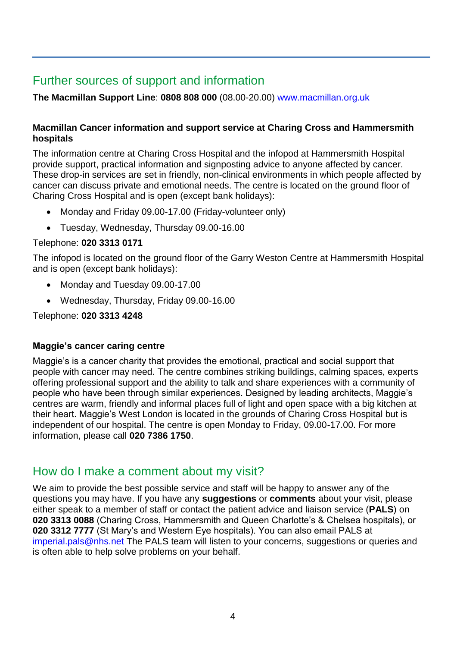# Further sources of support and information

**The Macmillan Support Line**: **0808 808 000** (08.00-20.00) [www.macmillan.org.uk](http://www.macmillan.org.uk/)

#### **Macmillan Cancer information and support service at Charing Cross and Hammersmith hospitals**

The information centre at Charing Cross Hospital and the infopod at Hammersmith Hospital provide support, practical information and signposting advice to anyone affected by cancer. These drop-in services are set in friendly, non-clinical environments in which people affected by cancer can discuss private and emotional needs. The centre is located on the ground floor of Charing Cross Hospital and is open (except bank holidays):

- Monday and Friday 09.00-17.00 (Friday-volunteer only)
- Tuesday, Wednesday, Thursday 09.00-16.00

#### Telephone: **020 3313 0171**

The infopod is located on the ground floor of the Garry Weston Centre at Hammersmith Hospital and is open (except bank holidays):

- Monday and Tuesday 09.00-17.00
- Wednesday, Thursday, Friday 09.00-16.00

Telephone: **020 3313 4248**

#### **Maggie's cancer caring centre**

Maggie's is a cancer charity that provides the emotional, practical and social support that people with cancer may need. The centre combines striking buildings, calming spaces, experts offering professional support and the ability to talk and share experiences with a community of people who have been through similar experiences. Designed by leading architects, Maggie's centres are warm, friendly and informal places full of light and open space with a big kitchen at their heart. Maggie's West London is located in the grounds of Charing Cross Hospital but is independent of our hospital. The centre is open Monday to Friday, 09.00-17.00. For more information, please call **020 7386 1750**.

## How do I make a comment about my visit?

We aim to provide the best possible service and staff will be happy to answer any of the questions you may have. If you have any **suggestions** or **comments** about your visit, please either speak to a member of staff or contact the patient advice and liaison service (**PALS**) on **020 3313 0088** (Charing Cross, Hammersmith and Queen Charlotte's & Chelsea hospitals), or **020 3312 7777** (St Mary's and Western Eye hospitals). You can also email PALS at [imperial.pals@nhs.net](mailto:imperial.pals@nhs.net) The PALS team will listen to your concerns, suggestions or queries and is often able to help solve problems on your behalf.